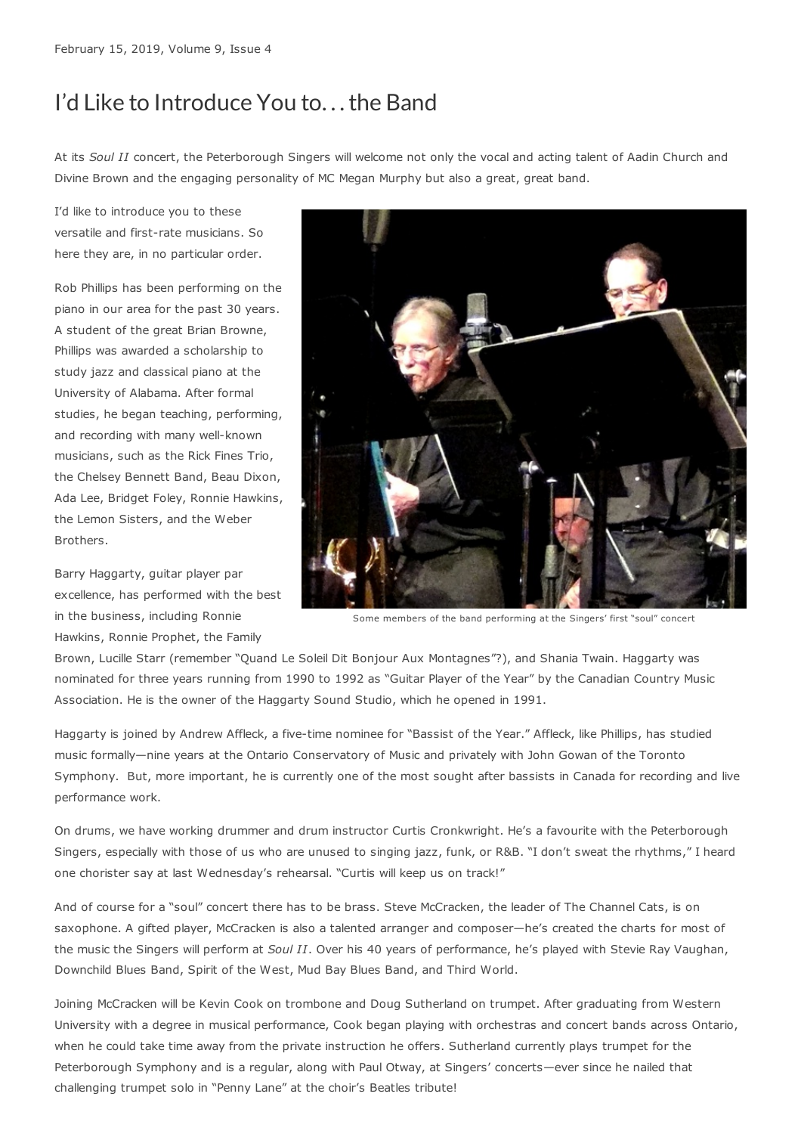## I'd Like to Introduce You to. . .the Band

At its *Soul II* concert, the Peterborough Singers will welcome not only the vocal and acting talent of Aadin Church and Divine Brown and the engaging personality of MC Megan Murphy but also a great, great band.

I'd like to introduce you to these versatile and first-rate musicians. So here they are, in no particular order.

Rob Phillips has been performing on the piano in our area for the past 30 years. A student of the great Brian Browne, Phillips was awarded a scholarship to study jazz and classical piano at the University of Alabama. After formal studies, he began teaching, performing, and recording with many well-known musicians, such as the Rick Fines Trio, the Chelsey Bennett Band, Beau Dixon, Ada Lee, Bridget Foley, Ronnie Hawkins, the Lemon Sisters, and the Weber Brothers.

Barry Haggarty, guitar player par excellence, has performed with the best in the business, including Ronnie Hawkins, Ronnie Prophet, the Family



Some members of the band performing at the Singers' first "soul" concert

Brown, Lucille Starr (remember "Quand Le Soleil Dit Bonjour Aux Montagnes"?), and Shania Twain. Haggarty was nominated for three years running from 1990 to 1992 as "Guitar Player of the Year" by the Canadian Country Music Association. He is the owner of the Haggarty Sound Studio, which he opened in 1991.

Haggarty is joined by Andrew Affleck, a five-time nominee for "Bassist of the Year." Affleck, like Phillips, has studied music formally—nine years at the Ontario Conservatory of Music and privately with John Gowan of the Toronto Symphony. But, more important, he is currently one of the most sought after bassists in Canada for recording and live performance work.

On drums, we have working drummer and drum instructor Curtis Cronkwright. He's a favourite with the Peterborough Singers, especially with those of us who are unused to singing jazz, funk, or R&B. "I don't sweat the rhythms," I heard one chorister say at last Wednesday's rehearsal. "Curtis will keep us on track!"

And of course for a "soul" concert there has to be brass. Steve McCracken, the leader of The Channel Cats, is on saxophone. A gifted player, McCracken is also a talented arranger and composer—he's created the charts for most of the music the Singers will perform at *Soul II*. Over his 40 years of performance, he's played with Stevie Ray Vaughan, Downchild Blues Band, Spirit of the West, Mud Bay Blues Band, and Third World.

Joining McCracken will be Kevin Cook on trombone and Doug Sutherland on trumpet. After graduating from Western University with a degree in musical performance, Cook began playing with orchestras and concert bands across Ontario, when he could take time away from the private instruction he offers. Sutherland currently plays trumpet for the Peterborough Symphony and is a regular, along with Paul Otway, at Singers' concerts—ever since he nailed that challenging trumpet solo in "Penny Lane" at the choir's Beatles tribute!